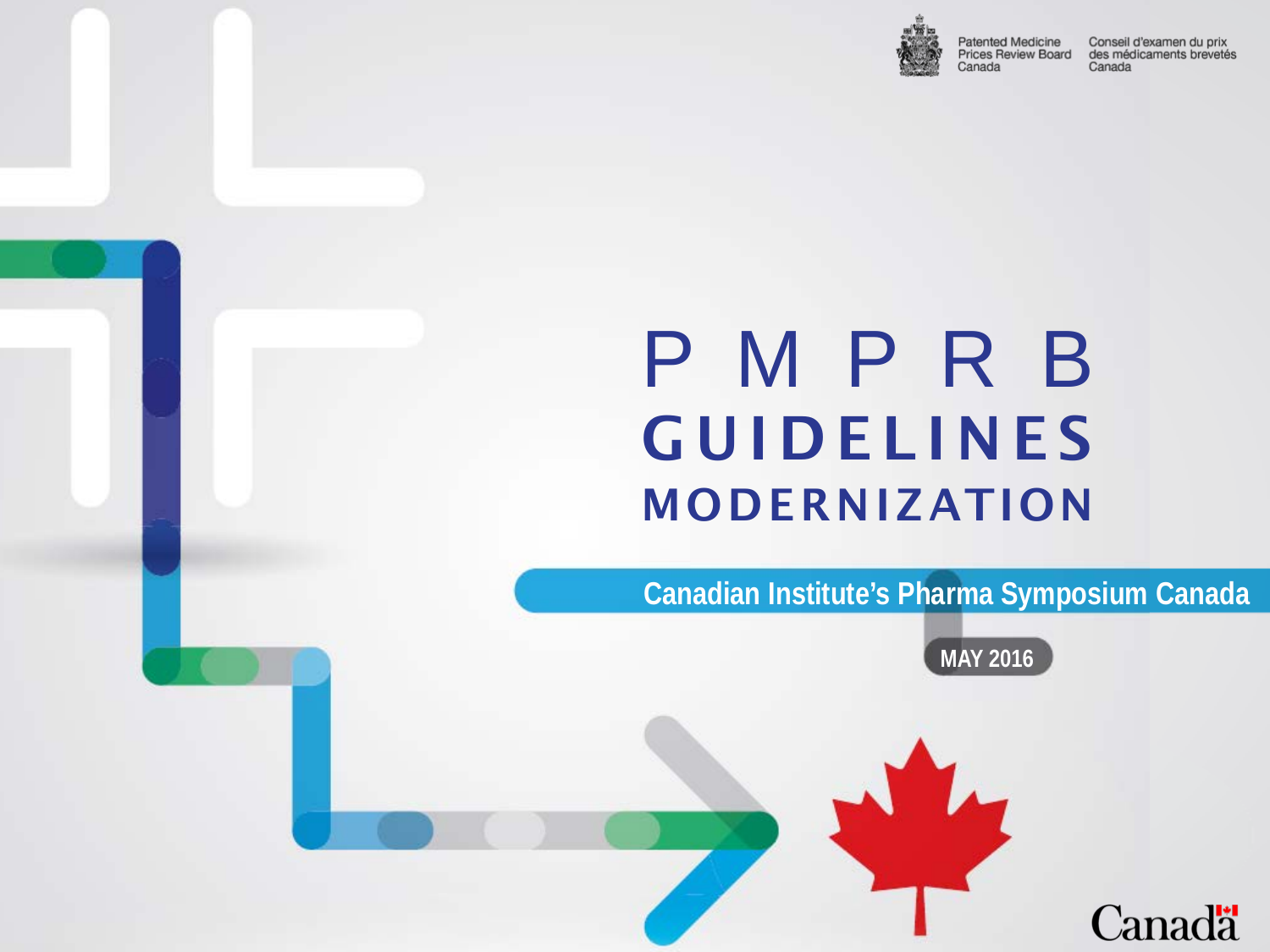

**Patented Medicine** Prices Review Board Canada

Conseil d'examen du prix des médicaments brevetés Canada

## P M P R B **GUIDELINES** MODERNIZATION

**Douglas Clark**

**Executive Director**

**Canadian Institute's Pharma Symposium Canada**

**MAY 2016**

Canadä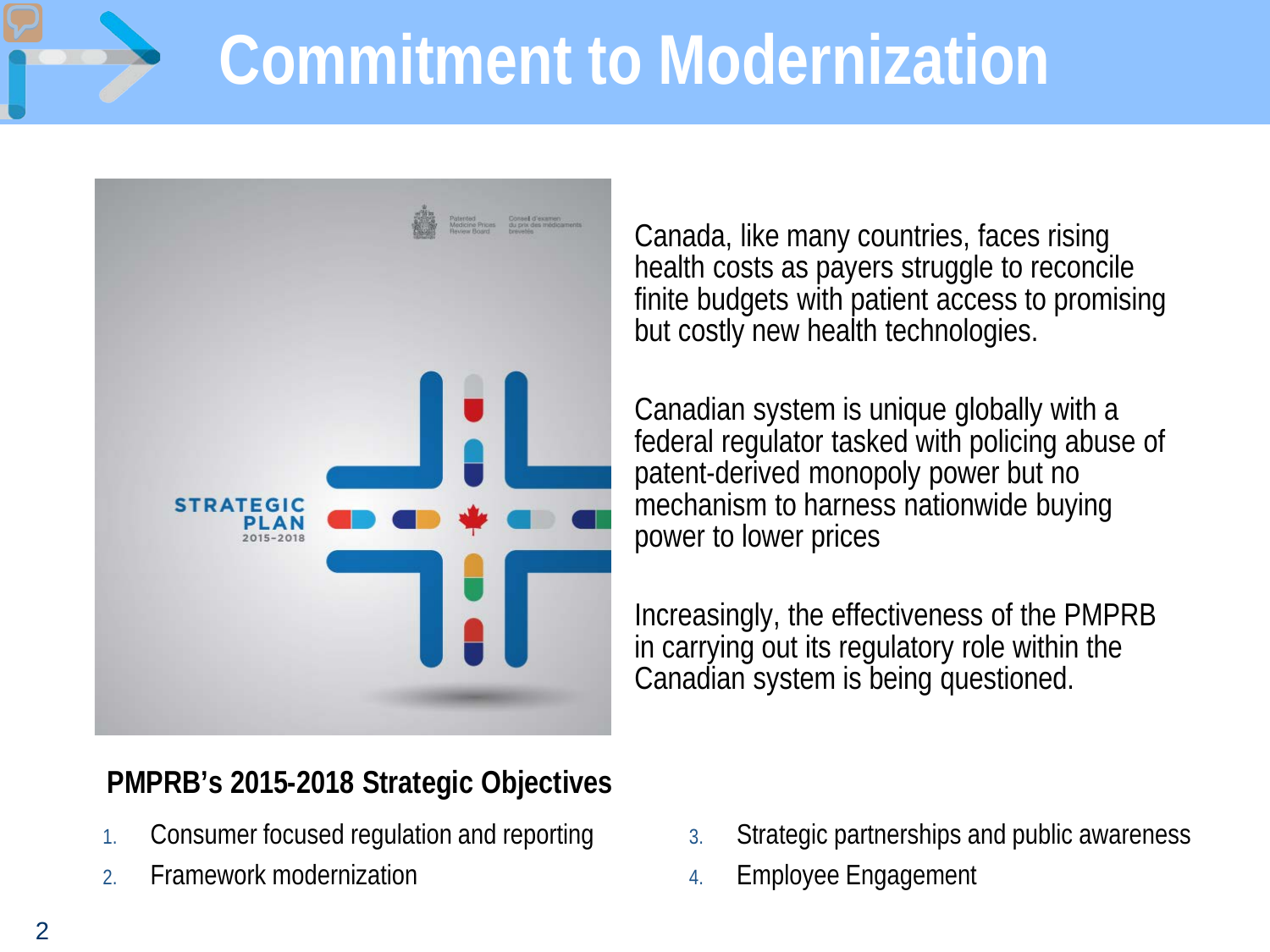# **Commitment to Modernization**



Canada, like many countries, faces rising health costs as payers struggle to reconcile finite budgets with patient access to promising but costly new health technologies.

Canadian system is unique globally with a federal regulator tasked with policing abuse of patent-derived monopoly power but no mechanism to harness nationwide buying power to lower prices

Increasingly, the effectiveness of the PMPRB in carrying out its regulatory role within the Canadian system is being questioned.

### **PMPRB's 2015-2018 Strategic Objectives**

- 1. Consumer focused regulation and reporting
- 2. Framework modernization
- 3. Strategic partnerships and public awareness
- 4. Employee Engagement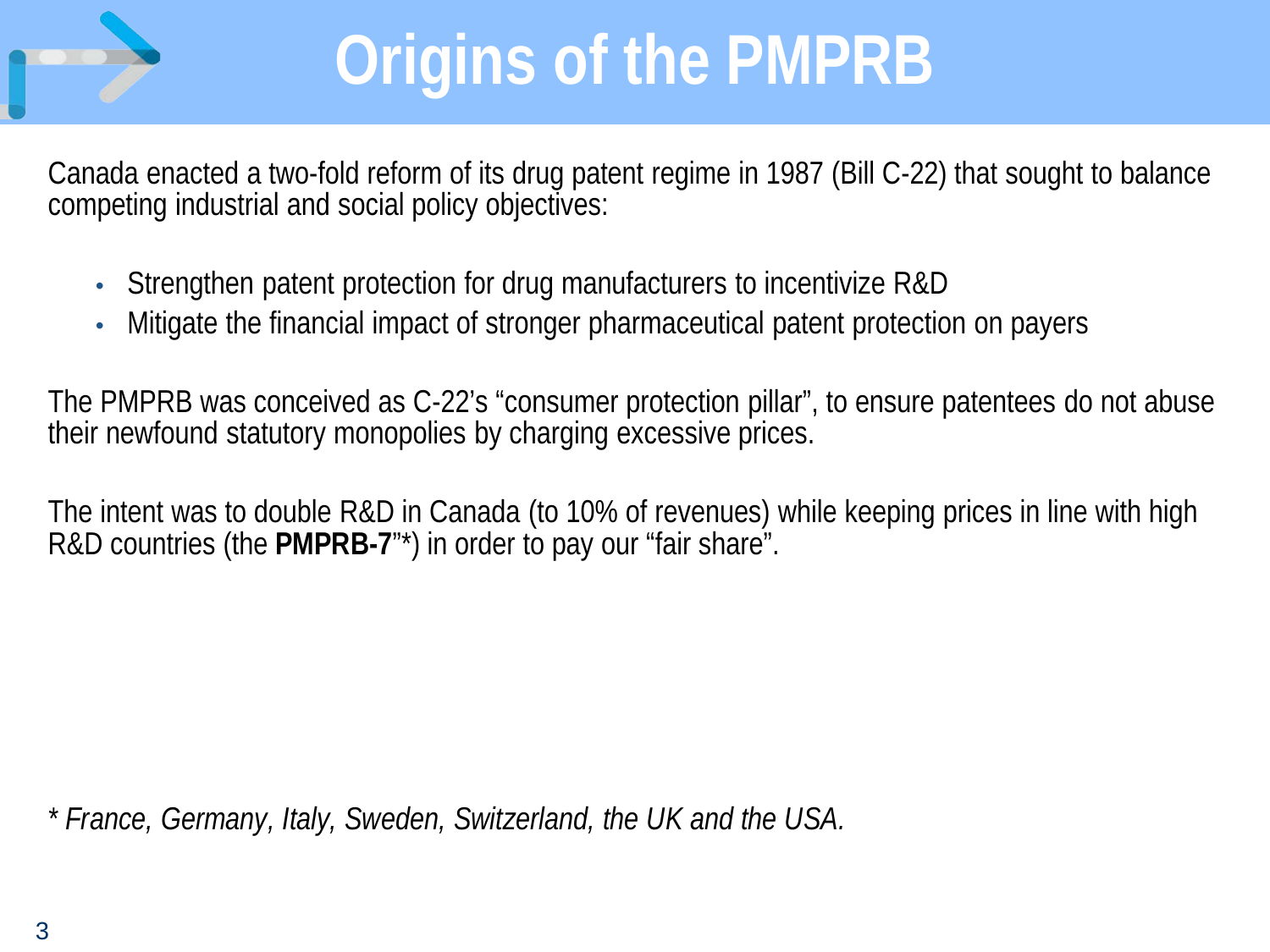

# **Origins of the PMPRB**

Canada enacted a two-fold reform of its drug patent regime in 1987 (Bill C-22) that sought to balance competing industrial and social policy objectives:

- Strengthen patent protection for drug manufacturers to incentivize R&D
- Mitigate the financial impact of stronger pharmaceutical patent protection on payers

The PMPRB was conceived as C-22's "consumer protection pillar", to ensure patentees do not abuse their newfound statutory monopolies by charging excessive prices.

The intent was to double R&D in Canada (to 10% of revenues) while keeping prices in line with high R&D countries (the **PMPRB-7**"\*) in order to pay our "fair share".

*\* France, Germany, Italy, Sweden, Switzerland, the UK and the USA.*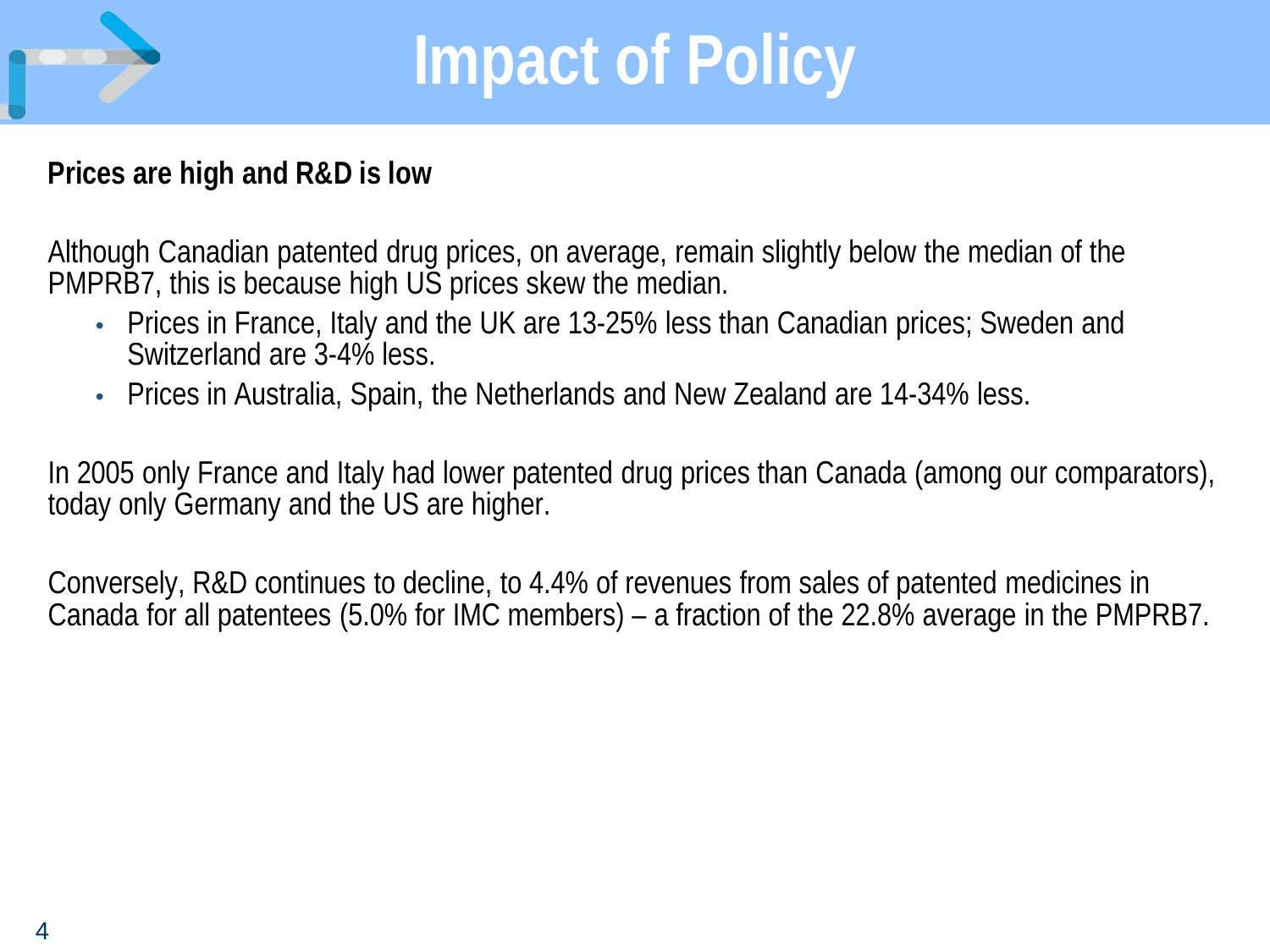

# **Impact of Policy**

#### **Prices are high and R&D is low**

Although Canadian patented drug prices, on average, remain slightly below the median of the PMPRB7, this is because high US prices skew the median.

- Prices in France, Italy and the UK are 13-25% less than Canadian prices; Sweden and Switzerland are 3-4% less.
- Prices in Australia, Spain, the Netherlands and New Zealand are 14-34% less.

In 2005 only France and Italy had lower patented drug prices than Canada (among our comparators), today only Germany and the US are higher.

Conversely, R&D continues to decline, to 4.4% of revenues from sales of patented medicines in Canada for all patentees (5.0% for IMC members) – a fraction of the 22.8% average in the PMPRB7.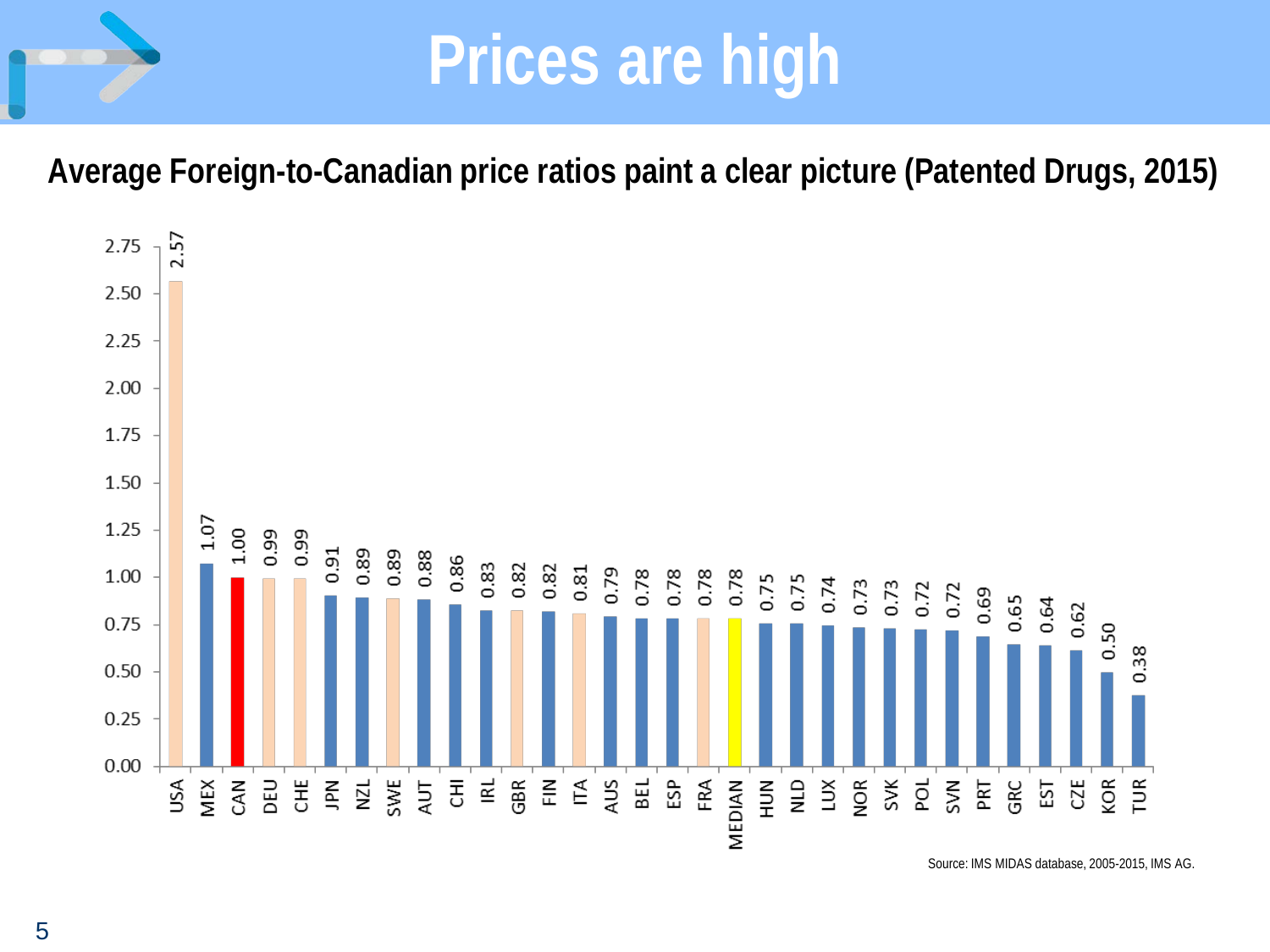### **Prices are high**

**Average Foreign-to-Canadian price ratios paint a clear picture (Patented Drugs, 2015)**



Source: IMS MIDAS database, 2005-2015, IMS AG.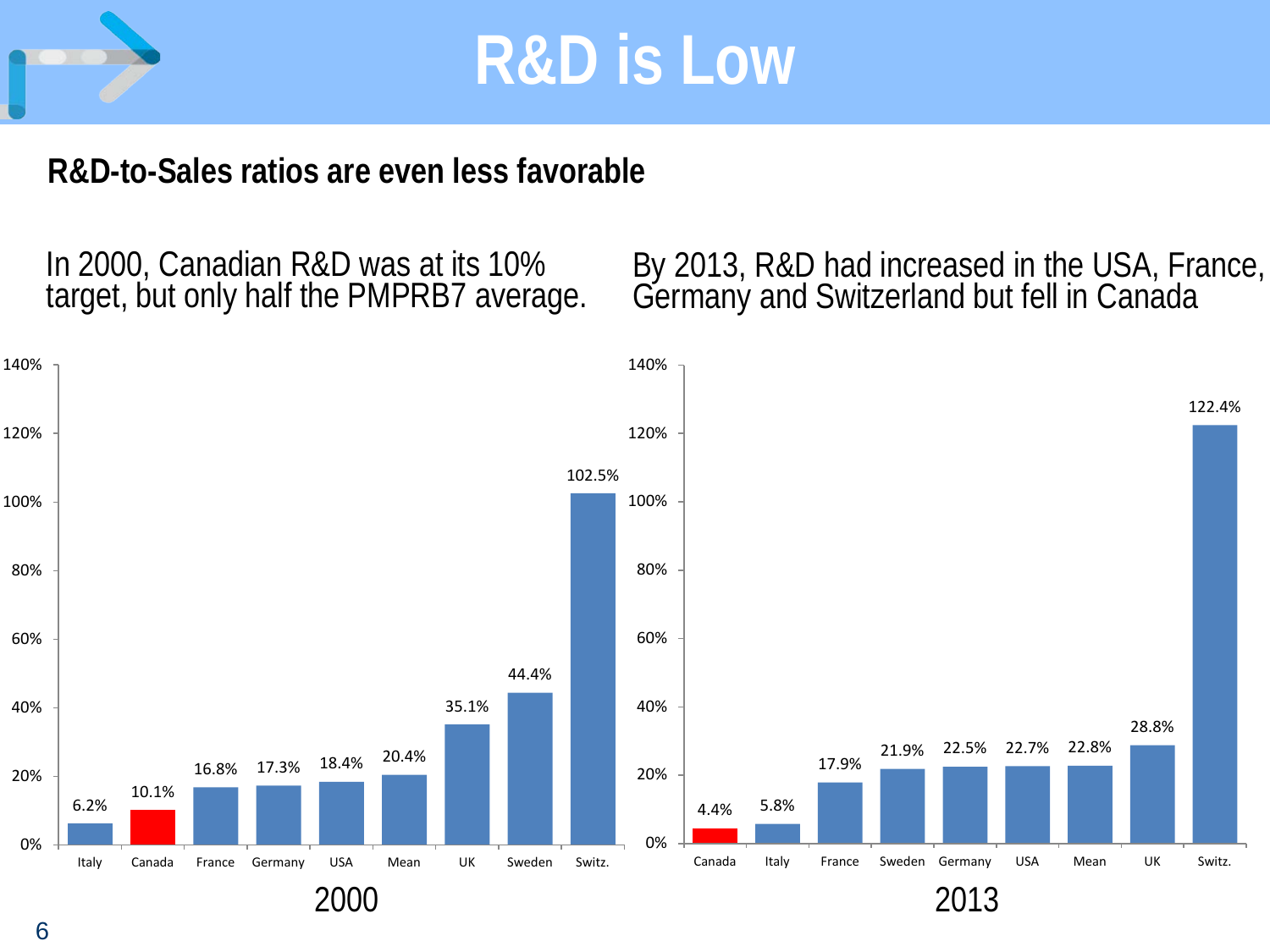

### **R&D-to-Sales ratios are even less favorable**

In 2000, Canadian R&D was at its 10%<br>target, but only half the PMPRB7 average.

In 2000, Canadian R&D was at its 10% By 2013, R&D had increased in the USA, France,<br>target, but only half the PMPRB7 average. Germany and Switzerland but fell in Canada

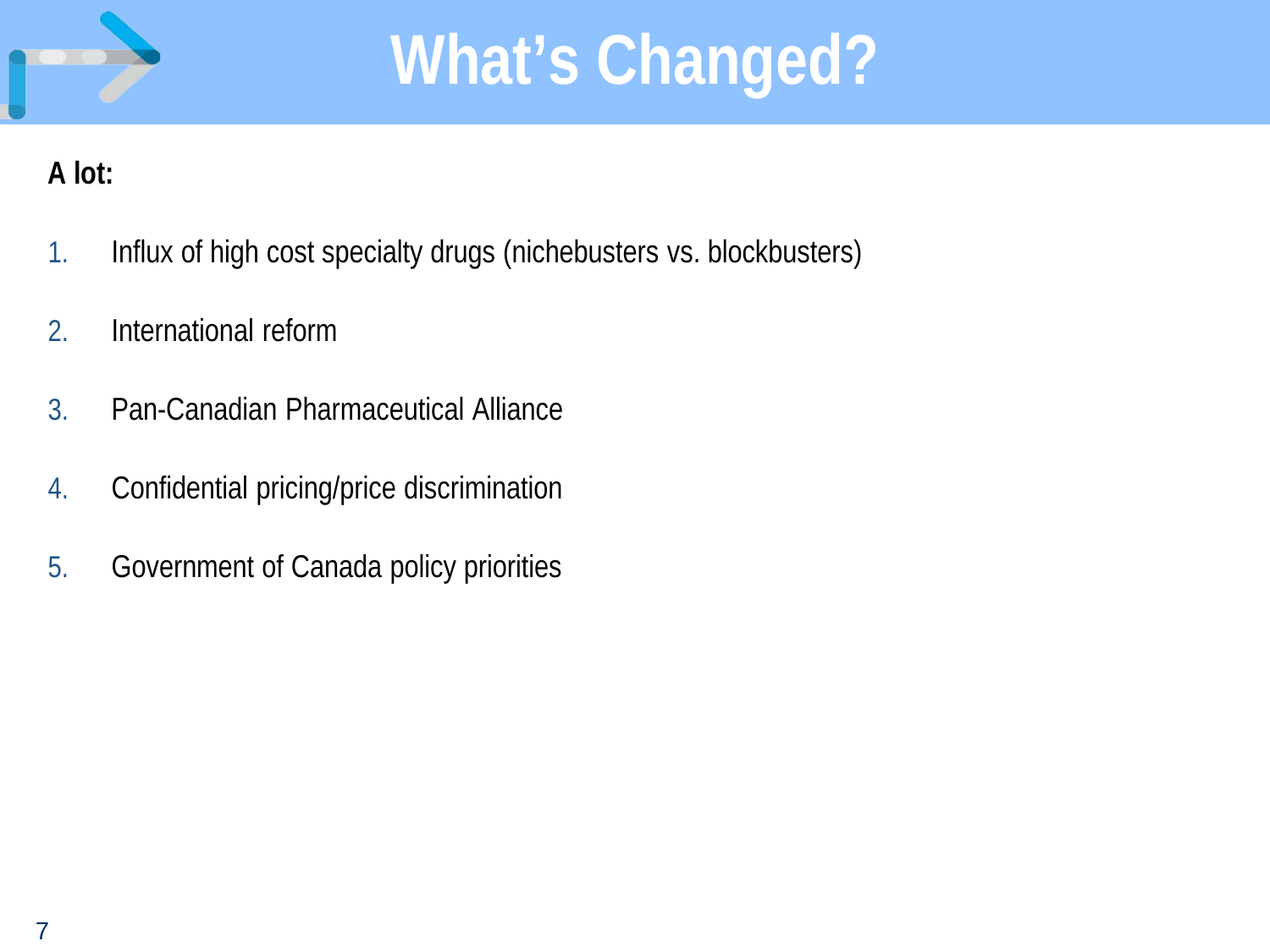

#### **A lot:**

- 1. Influx of high cost specialty drugs (nichebusters vs. blockbusters)
- 2. International reform
- 3. Pan-Canadian Pharmaceutical Alliance
- 4. Confidential pricing/price discrimination
- 5. Government of Canada policy priorities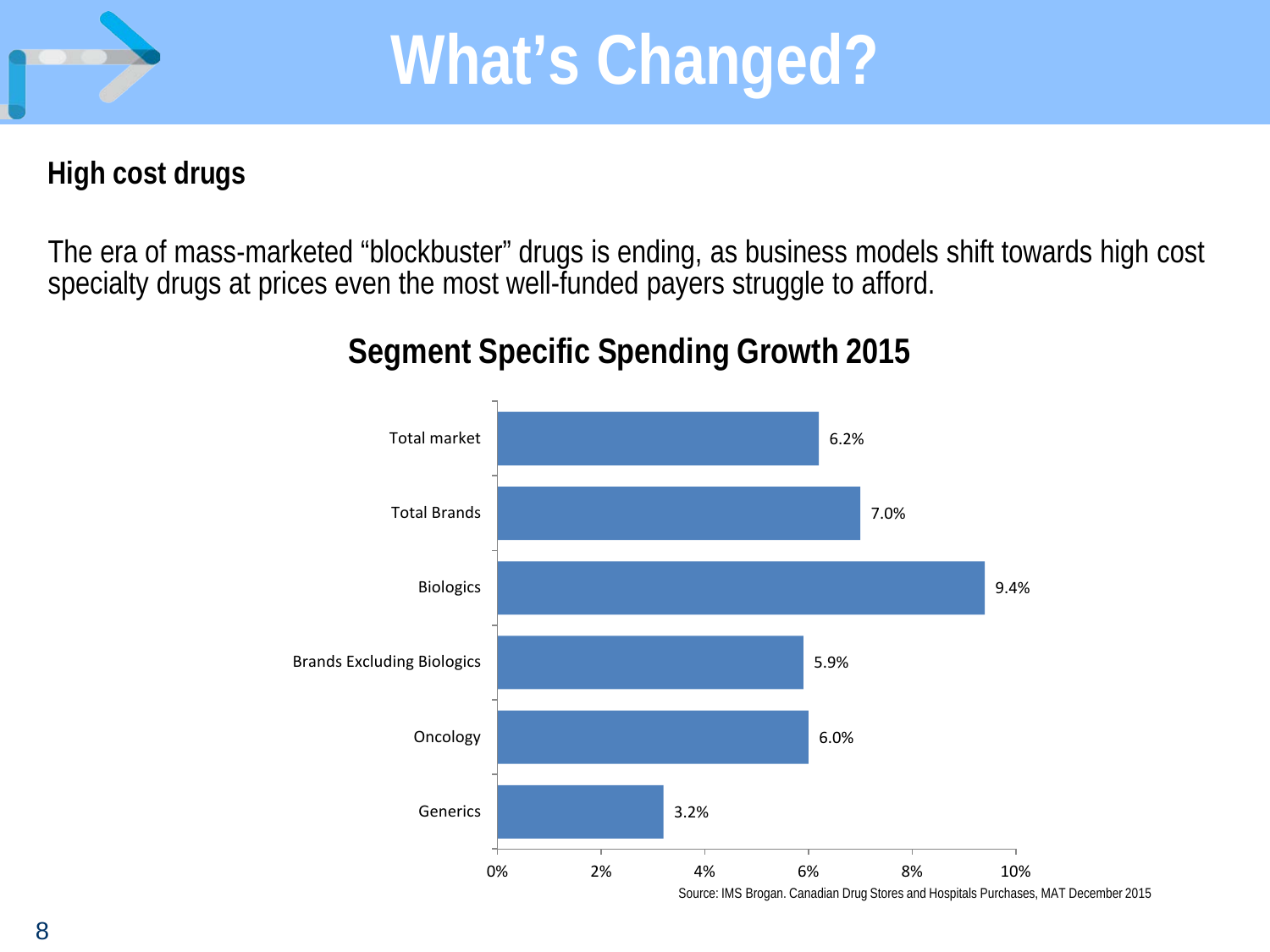

#### **High cost drugs**

The era of mass-marketed "blockbuster" drugs is ending, as business models shift towards high cost specialty drugs at prices even the most well-funded payers struggle to afford.

### **Segment Specific Spending Growth 2015**



Source: IMS Brogan. Canadian Drug Stores and Hospitals Purchases, MAT December 2015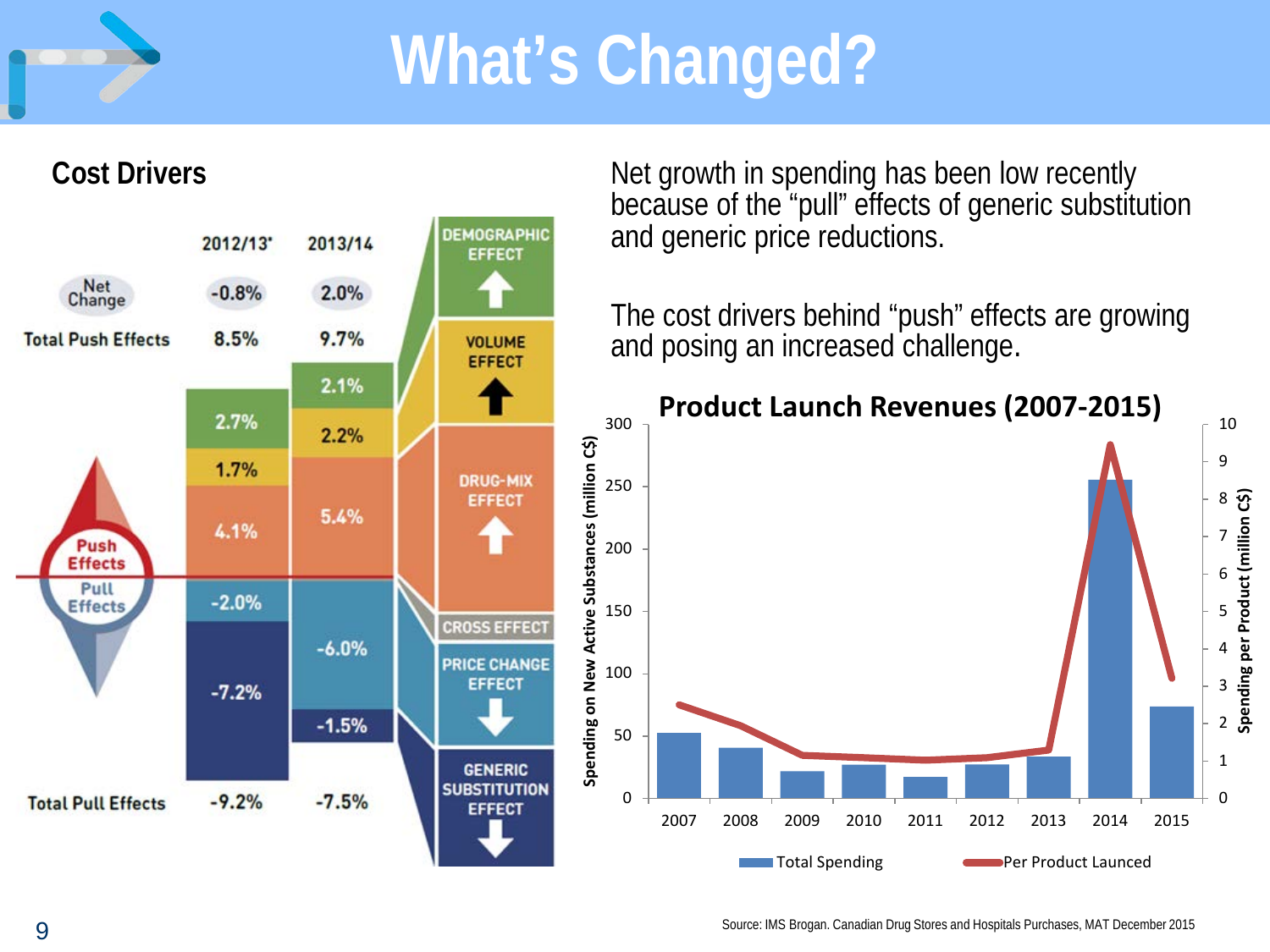

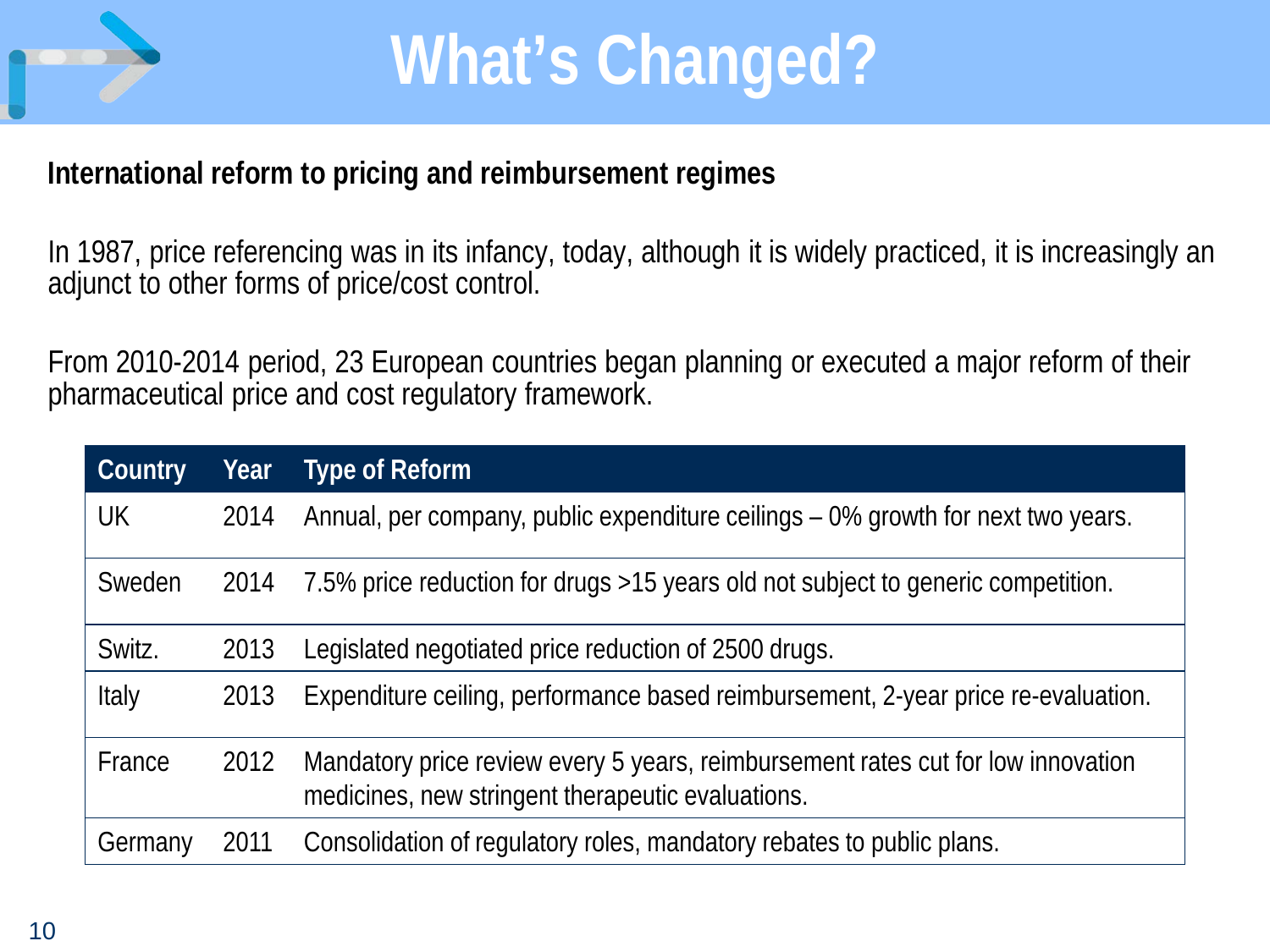

#### **International reform to pricing and reimbursement regimes**

In 1987, price referencing was in its infancy, today, although it is widely practiced, it is increasingly an adjunct to other forms of price/cost control.

From 2010-2014 period, 23 European countries began planning or executed a major reform of their pharmaceutical price and cost regulatory framework.

| <b>Country</b> | Year | <b>Type of Reform</b>                                                                                                                 |
|----------------|------|---------------------------------------------------------------------------------------------------------------------------------------|
| UK             | 2014 | Annual, per company, public expenditure ceilings – 0% growth for next two years.                                                      |
| Sweden         | 2014 | 7.5% price reduction for drugs >15 years old not subject to generic competition.                                                      |
| Switz.         | 2013 | Legislated negotiated price reduction of 2500 drugs.                                                                                  |
| Italy          | 2013 | Expenditure ceiling, performance based reimbursement, 2-year price re-evaluation.                                                     |
| France         | 2012 | Mandatory price review every 5 years, reimbursement rates cut for low innovation<br>medicines, new stringent therapeutic evaluations. |
| Germany        | 2011 | Consolidation of regulatory roles, mandatory rebates to public plans.                                                                 |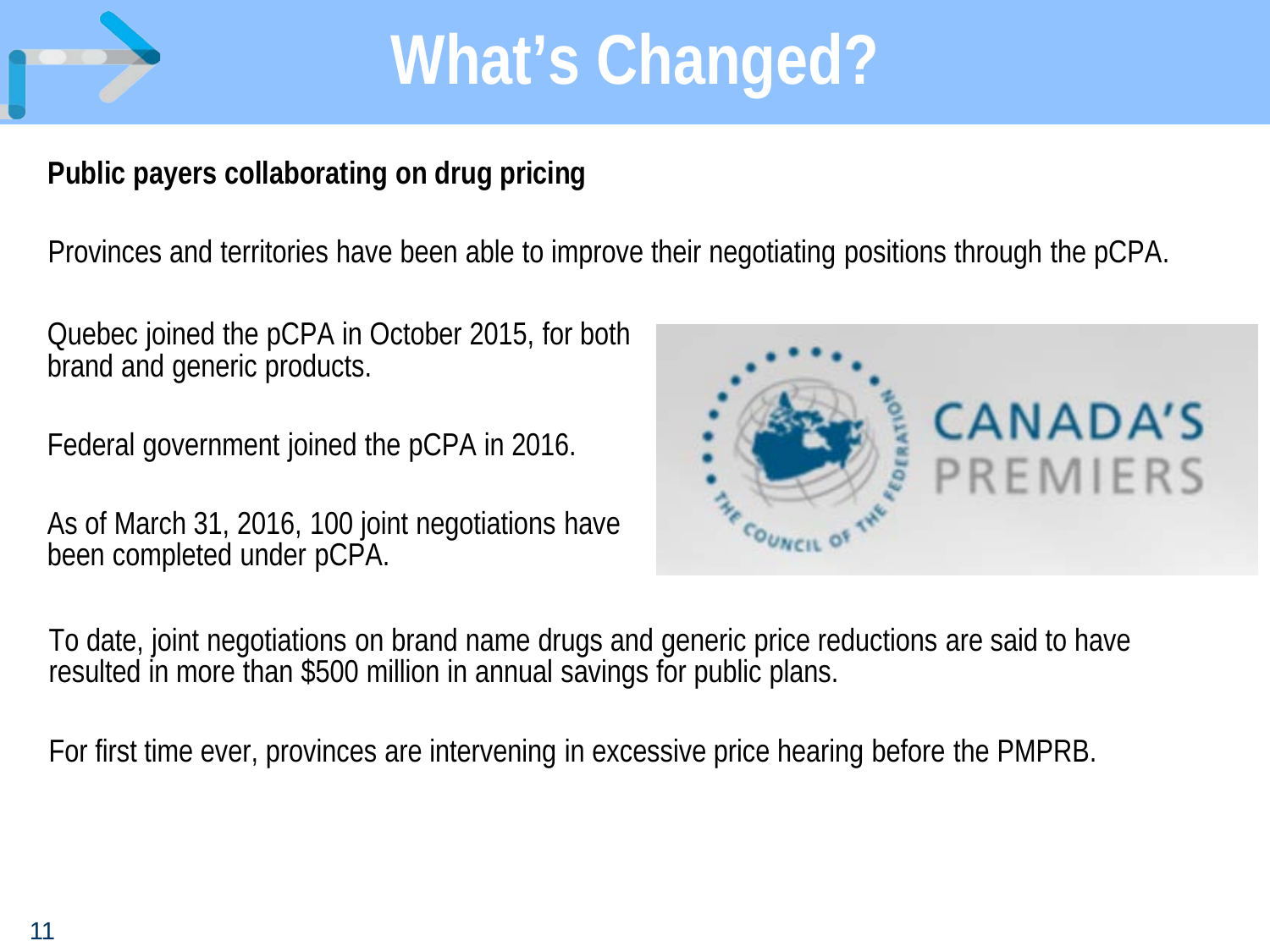

### **Public payers collaborating on drug pricing**

Provinces and territories have been able to improve their negotiating positions through the pCPA.

Quebec joined the pCPA in October 2015, for both brand and generic products.

Federal government joined the pCPA in 2016.

As of March 31, 2016, 100 joint negotiations have been completed under pCPA.



To date, joint negotiations on brand name drugs and generic price reductions are said to have resulted in more than \$500 million in annual savings for public plans.

For first time ever, provinces are intervening in excessive price hearing before the PMPRB.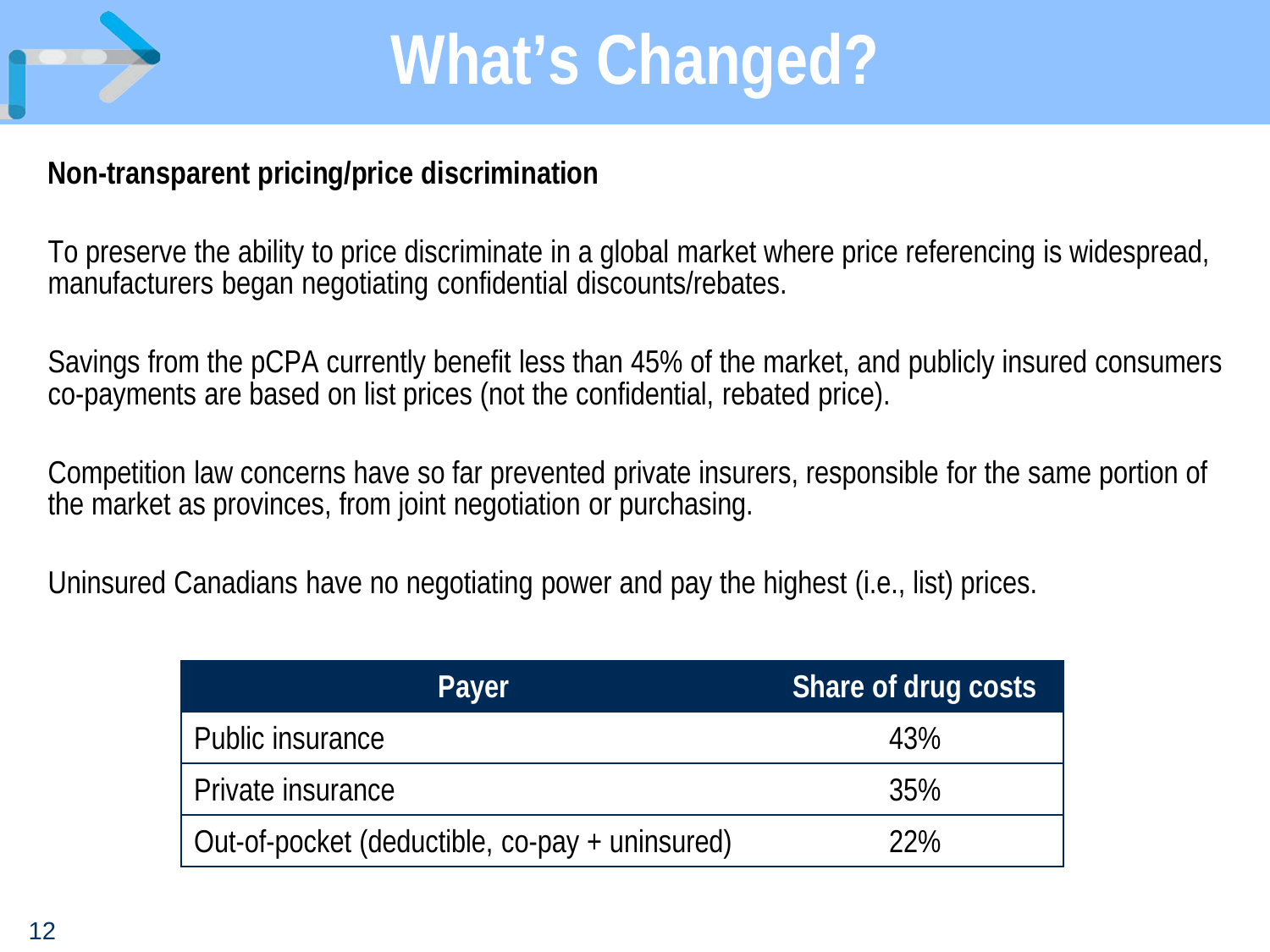

#### **Non-transparent pricing/price discrimination**

To preserve the ability to price discriminate in a global market where price referencing is widespread, manufacturers began negotiating confidential discounts/rebates.

Savings from the pCPA currently benefit less than 45% of the market, and publicly insured consumers co-payments are based on list prices (not the confidential, rebated price).

Competition law concerns have so far prevented private insurers, responsible for the same portion of the market as provinces, from joint negotiation or purchasing.

Uninsured Canadians have no negotiating power and pay the highest (i.e., list) prices.

| Payer                                          | Share of drug costs |
|------------------------------------------------|---------------------|
| Public insurance                               | 43%                 |
| Private insurance                              | 35%                 |
| Out-of-pocket (deductible, co-pay + uninsured) | 22%                 |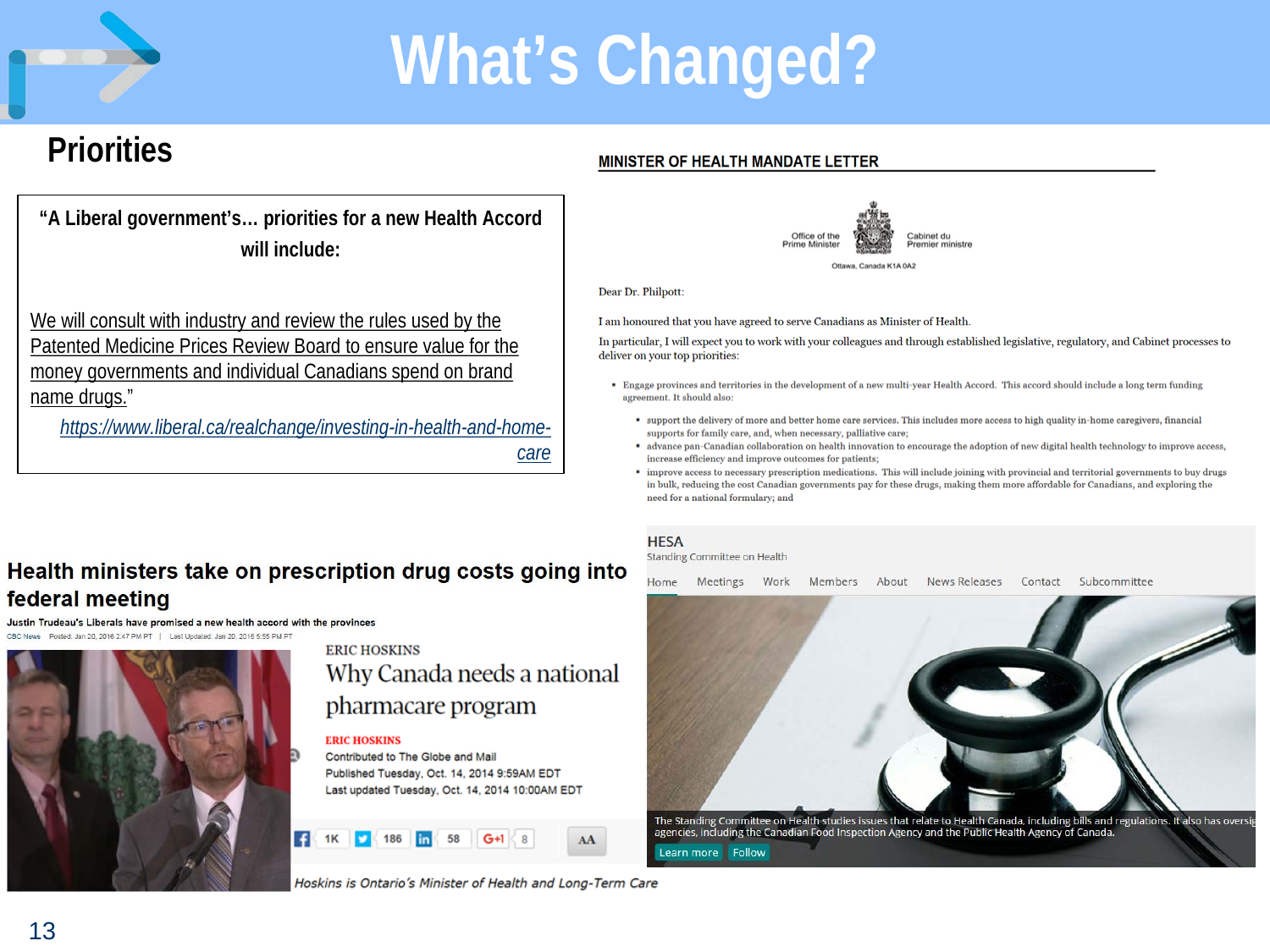

### **Priorities**

**"A Liberal government's… priorities for a new Health Accord will include:**

We will consult with industry and review the rules used by the Patented Medicine Prices Review Board to ensure value for the money governments and individual Canadians spend on brand name drugs."

*[https://www.liberal.ca/realchange/investing-in-health-and-home](https://www.liberal.ca/realchange/investing-in-health-and-home-care)[care](https://www.liberal.ca/realchange/investing-in-health-and-home-care)*

#### Health ministers take on prescription drug costs going into federal meeting

Justin Trudeau's Liberals have promised a new health accord with the provinces



#### **ERIC HOSKINS** Why Canada needs a national pharmacare program

#### **ERIC HOSKINS**

Contributed to The Globe and Mail Published Tuesday, Oct. 14, 2014 9:59AM EDT Last updated Tuesday, Oct. 14, 2014 10:00AM EDT

AA

### MINISTER OF HEALTH MANDATE LETTER



Dear Dr. Philpott:

I am honoured that you have agreed to serve Canadians as Minister of Health.

In particular, I will expect you to work with your colleagues and through established legislative, regulatory, and Cabinet processes to deliver on your top priorities:

- . Engage provinces and territories in the development of a new multi-year Health Accord. This accord should include a long term funding agreement. It should also:
	- " support the delivery of more and better home care services. This includes more access to high quality in-home caregivers, financial supports for family care, and, when necessary, palliative care;
	- " advance pan-Canadian collaboration on health innovation to encourage the adoption of new digital health technology to improve access, increase efficiency and improve outcomes for patients;
	- \* improve access to necessary prescription medications. This will include joining with provincial and territorial governments to buy drugs in bulk, reducing the cost Canadian governments pay for these drugs, making them more affordable for Canadians, and exploring the need for a national formulary; and

#### **HESA**

Standing Committee on Health

Subcommittee Home Meetings Work Members About News Releases Contact



Hoskins is Ontario's Minister of Health and Long-Term Care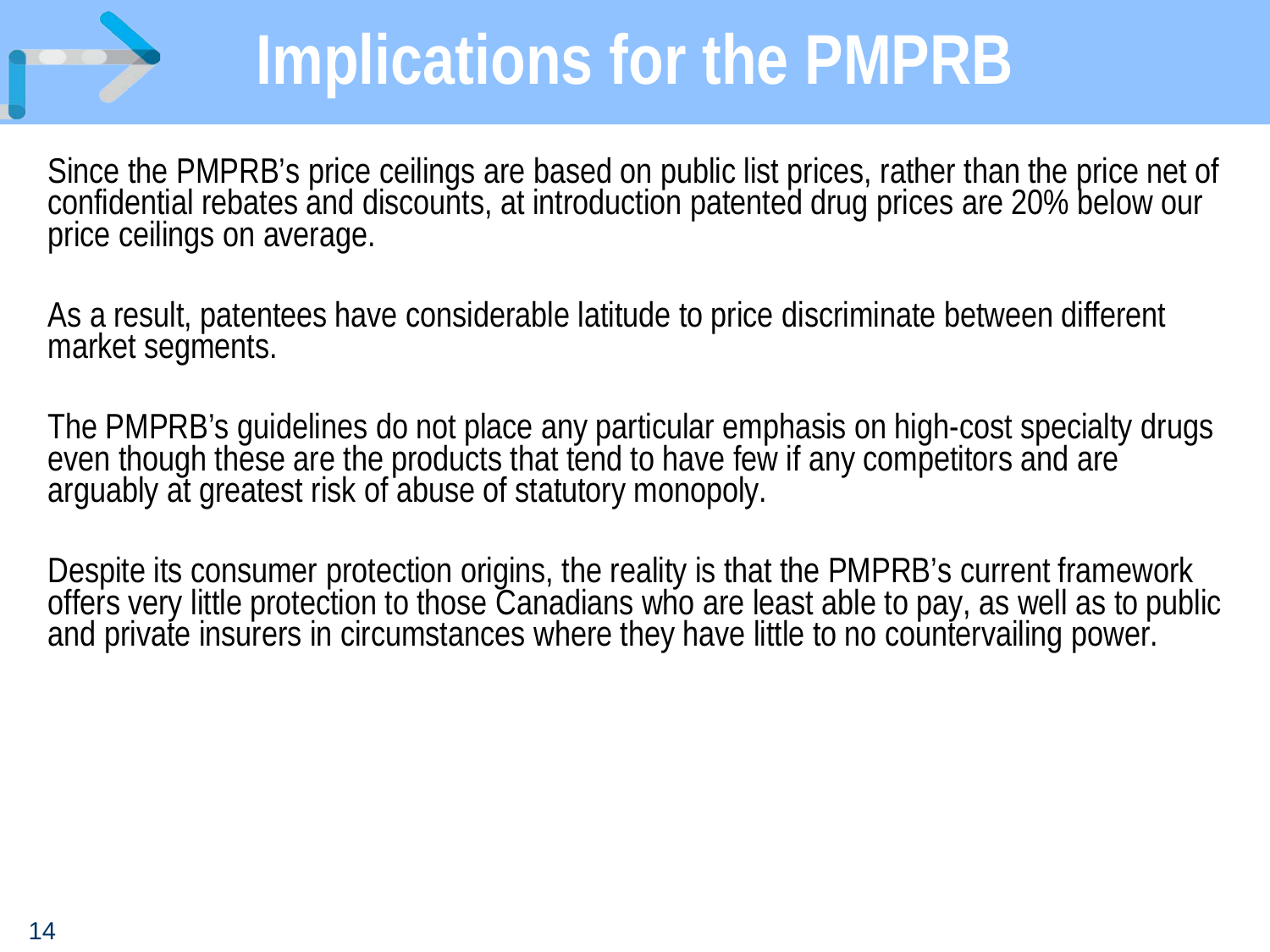## **Implications for the PMPRB**

Since the PMPRB's price ceilings are based on public list prices, rather than the price net of confidential rebates and discounts, at introduction patented drug prices are 20% below our price ceilings on average.

As a result, patentees have considerable latitude to price discriminate between different market segments.

The PMPRB's guidelines do not place any particular emphasis on high-cost specialty drugs<br>even though these are the products that tend to have few if any competitors and are arguably at greatest risk of abuse of statutory monopoly.

Despite its consumer protection origins, the reality is that the PMPRB's current framework offers very little protection to those Canadians who are least able to pay, as well as to public and private insurers in circumstan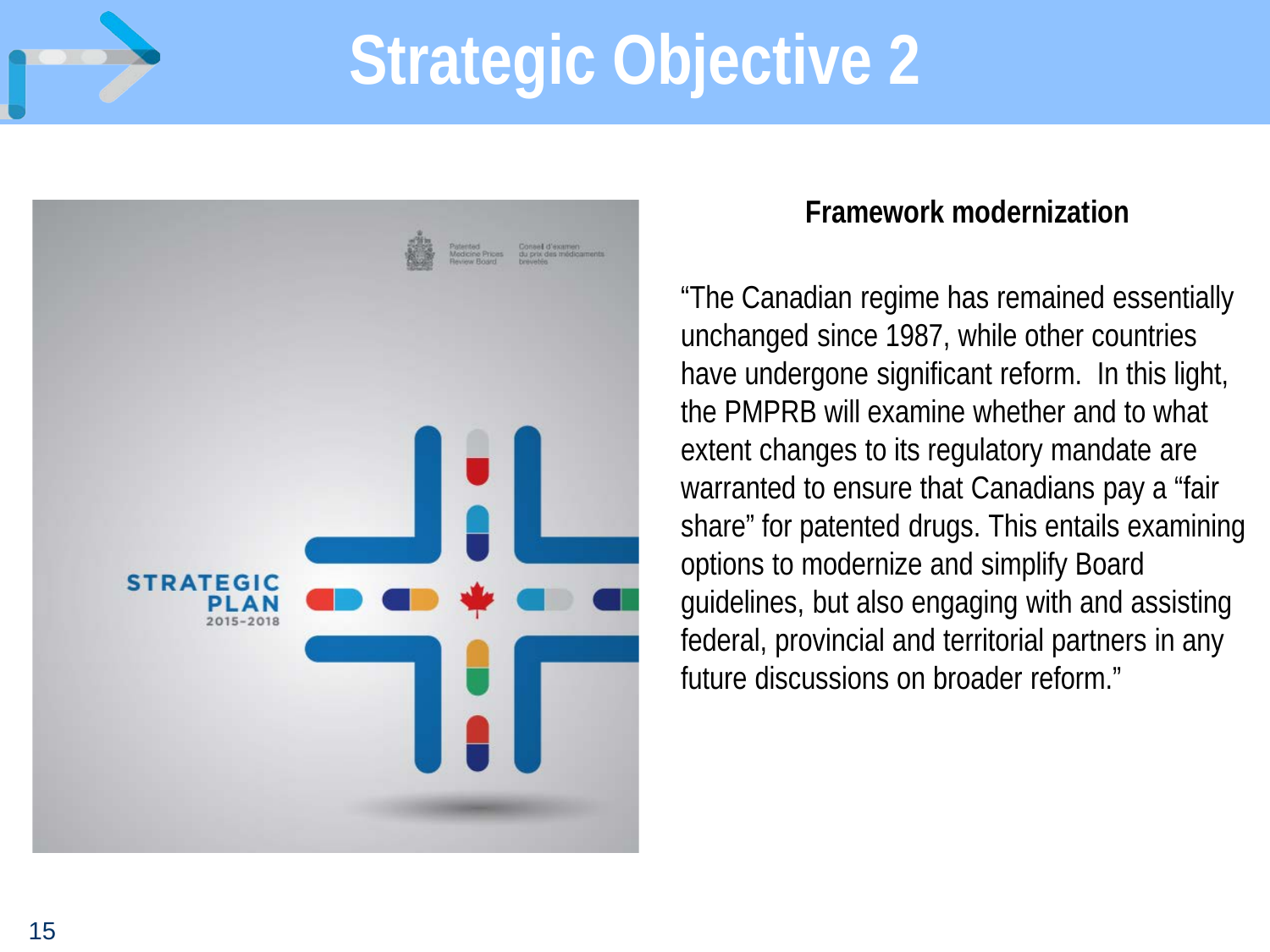



#### **Framework modernization**

"The Canadian regime has remained essentially unchanged since 1987, while other countries have undergone significant reform. In this light, the PMPRB will examine whether and to what extent changes to its regulatory mandate are warranted to ensure that Canadians pay a "fair share" for patented drugs. This entails examining options to modernize and simplify Board guidelines, but also engaging with and assisting federal, provincial and territorial partners in any future discussions on broader reform."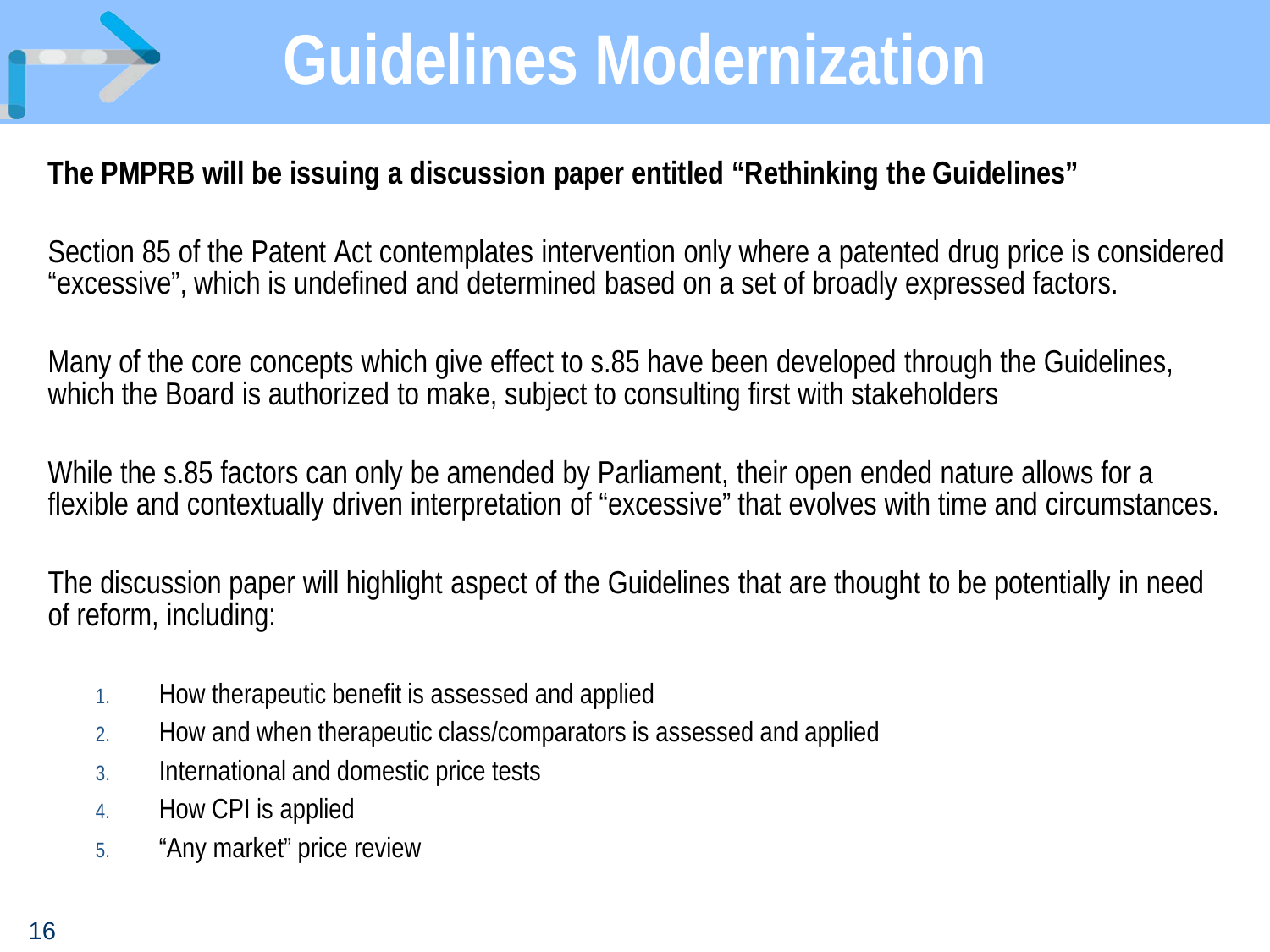

### **Guidelines Modernization**

#### **The PMPRB will be issuing a discussion paper entitled "Rethinking the Guidelines"**

Section 85 of the Patent Act contemplates intervention only where a patented drug price is considered "excessive", which is undefined and determined based on a set of broadly expressed factors.

Many of the core concepts which give effect to s.85 have been developed through the Guidelines, which the Board is authorized to make, subject to consulting first with stakeholders

While the s.85 factors can only be amended by Parliament, their open ended nature allows for a flexible and contextually driven interpretation of "excessive" that evolves with time and circumstances.

The discussion paper will highlight aspect of the Guidelines that are thought to be potentially in need of reform, including:

- 1. How therapeutic benefit is assessed and applied
- 2. How and when therapeutic class/comparators is assessed and applied
- 3. International and domestic price tests
- 4. How CPI is applied
- 5. "Any market" price review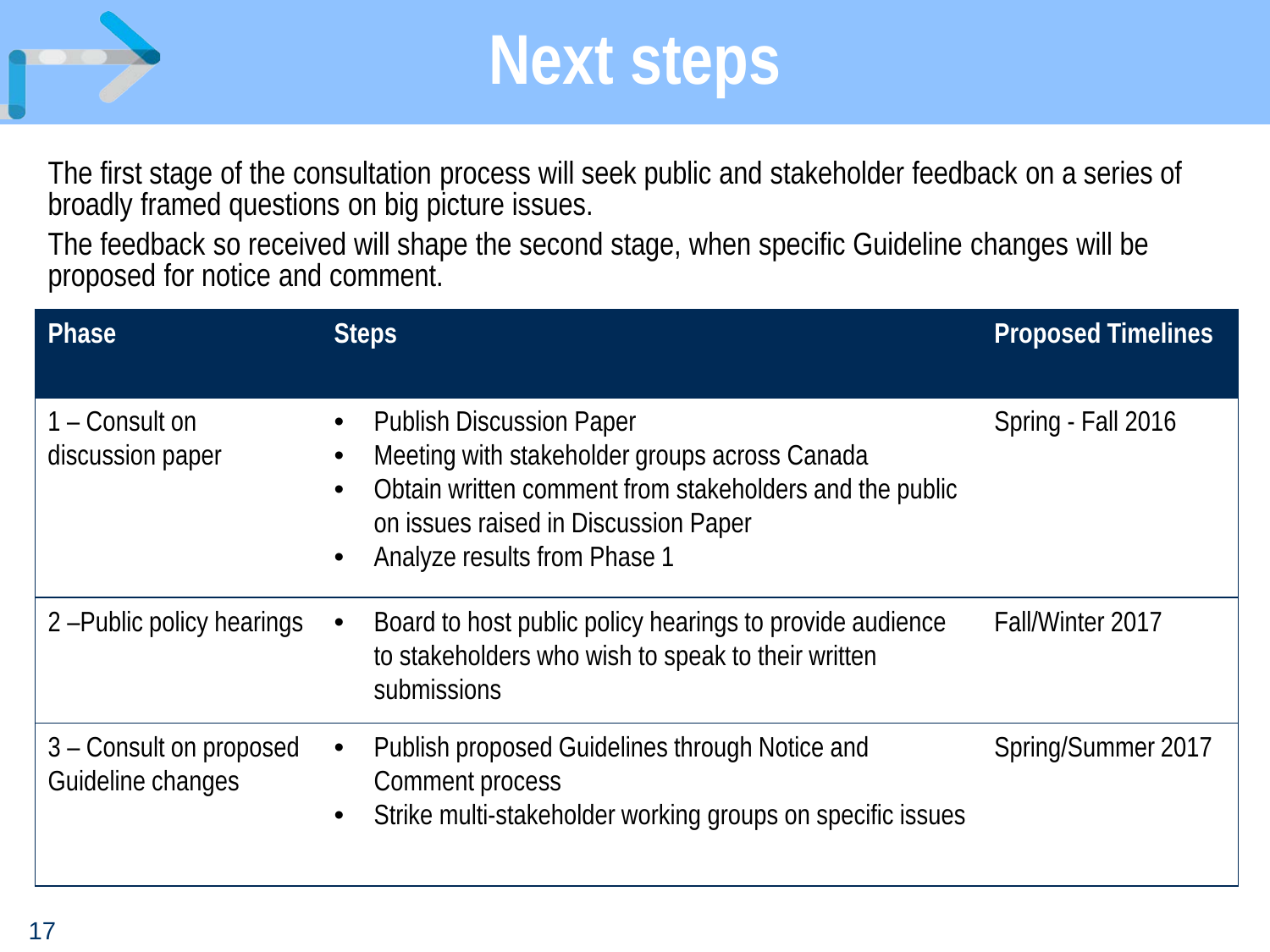

### **Next steps**

The first stage of the consultation process will seek public and stakeholder feedback on a series of broadly framed questions on big picture issues.

The feedback so received will shape the second stage, when specific Guideline changes will be proposed for notice and comment.

| Phase                                        | <b>Steps</b>                                                                                                                                                                                                        | <b>Proposed Timelines</b> |
|----------------------------------------------|---------------------------------------------------------------------------------------------------------------------------------------------------------------------------------------------------------------------|---------------------------|
| 1 – Consult on<br>discussion paper           | <b>Publish Discussion Paper</b><br>Meeting with stakeholder groups across Canada<br>Obtain written comment from stakeholders and the public<br>on issues raised in Discussion Paper<br>Analyze results from Phase 1 | Spring - Fall 2016        |
| 2-Public policy hearings                     | Board to host public policy hearings to provide audience<br>to stakeholders who wish to speak to their written<br>submissions                                                                                       | Fall/Winter 2017          |
| 3 – Consult on proposed<br>Guideline changes | Publish proposed Guidelines through Notice and<br>Comment process<br>Strike multi-stakeholder working groups on specific issues<br>$\bullet$                                                                        | Spring/Summer 2017        |